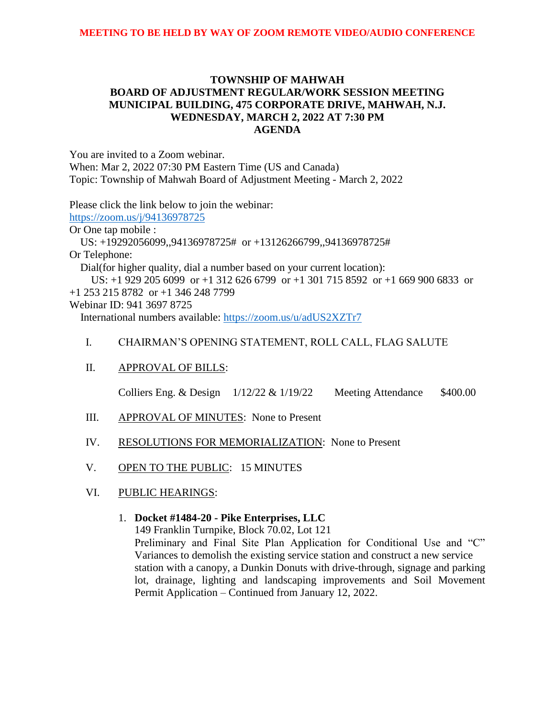# **TOWNSHIP OF MAHWAH BOARD OF ADJUSTMENT REGULAR/WORK SESSION MEETING MUNICIPAL BUILDING, 475 CORPORATE DRIVE, MAHWAH, N.J. WEDNESDAY, MARCH 2, 2022 AT 7:30 PM AGENDA**

You are invited to a Zoom webinar. When: Mar 2, 2022 07:30 PM Eastern Time (US and Canada) Topic: Township of Mahwah Board of Adjustment Meeting - March 2, 2022

Please click the link below to join the webinar:

<https://zoom.us/j/94136978725>

Or One tap mobile :

 US: +19292056099,,94136978725# or +13126266799,,94136978725# Or Telephone:

Dial(for higher quality, dial a number based on your current location):

 US: +1 929 205 6099 or +1 312 626 6799 or +1 301 715 8592 or +1 669 900 6833 or +1 253 215 8782 or +1 346 248 7799

Webinar ID: 941 3697 8725

International numbers available:<https://zoom.us/u/adUS2XZTr7>

# I. CHAIRMAN'S OPENING STATEMENT, ROLL CALL, FLAG SALUTE

# II. APPROVAL OF BILLS:

Colliers Eng. & Design  $1/12/22$  &  $1/19/22$  Meeting Attendance \$400.00

- III. APPROVAL OF MINUTES: None to Present
- IV. RESOLUTIONS FOR MEMORIALIZATION: None to Present
- V. OPEN TO THE PUBLIC: 15 MINUTES
- VI. PUBLIC HEARINGS:

# 1. **Docket #1484-20 - Pike Enterprises, LLC**

149 Franklin Turnpike, Block 70.02, Lot 121

Preliminary and Final Site Plan Application for Conditional Use and "C" Variances to demolish the existing service station and construct a new service station with a canopy, a Dunkin Donuts with drive-through, signage and parking lot, drainage, lighting and landscaping improvements and Soil Movement Permit Application – Continued from January 12, 2022.